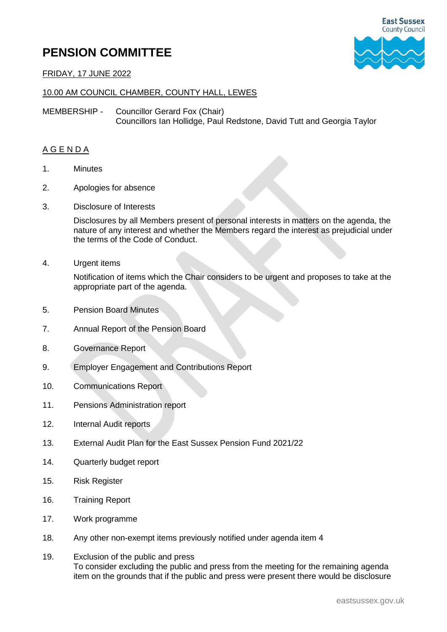## **PENSION COMMITTEE**



FRIDAY, 17 JUNE 2022

## 10.00 AM COUNCIL CHAMBER, COUNTY HALL, LEWES

MEMBERSHIP - Councillor Gerard Fox (Chair) Councillors Ian Hollidge, Paul Redstone, David Tutt and Georgia Taylor

## A G E N D A

- 1. Minutes
- 2. Apologies for absence
- 3. Disclosure of Interests

Disclosures by all Members present of personal interests in matters on the agenda, the nature of any interest and whether the Members regard the interest as prejudicial under the terms of the Code of Conduct.

4. Urgent items

Notification of items which the Chair considers to be urgent and proposes to take at the appropriate part of the agenda.

- 5. Pension Board Minutes
- 7. Annual Report of the Pension Board
- 8. Governance Report
- 9. Employer Engagement and Contributions Report
- 10. Communications Report
- 11. Pensions Administration report
- 12. Internal Audit reports
- 13. External Audit Plan for the East Sussex Pension Fund 2021/22
- 14. Quarterly budget report
- 15. Risk Register
- 16. Training Report
- 17. Work programme
- 18. Any other non-exempt items previously notified under agenda item 4
- 19. Exclusion of the public and press To consider excluding the public and press from the meeting for the remaining agenda item on the grounds that if the public and press were present there would be disclosure